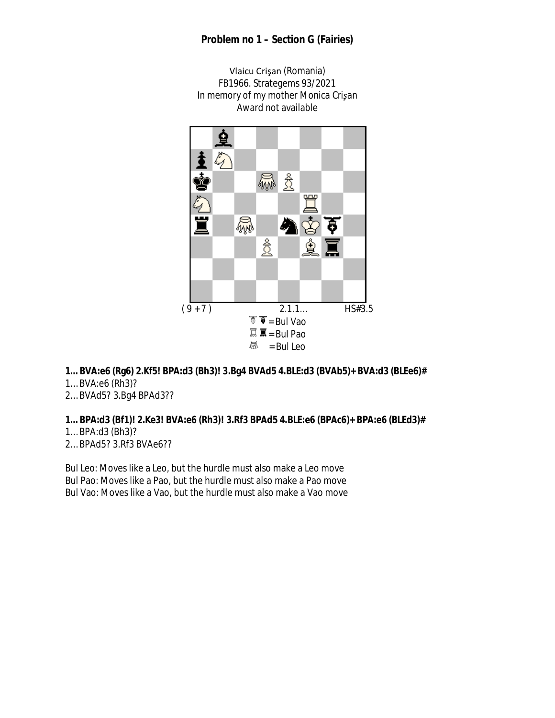### **Problem no 1 – Section G (Fairies)**





# **1… BVA:e6 (Rg6) 2.Kf5! BPA:d3 (Bh3)! 3.Bg4 BVAd5 4.BLE:d3 (BVAb5)+ BVA:d3 (BLEe6)#**

- 1… BVA:e6 (Rh3)?
- 2… BVAd5? 3.Bg4 BPAd3??

### **1… BPA:d3 (Bf1)! 2.Ke3! BVA:e6 (Rh3)! 3.Rf3 BPAd5 4.BLE:e6 (BPAc6)+ BPA:e6 (BLEd3)#**

- 1… BPA:d3 (Bh3)?
- 2… BPAd5? 3.Rf3 BVAe6??

Bul Leo: Moves like a Leo, but the hurdle must also make a Leo move Bul Pao: Moves like a Pao, but the hurdle must also make a Pao move Bul Vao: Moves like a Vao, but the hurdle must also make a Vao move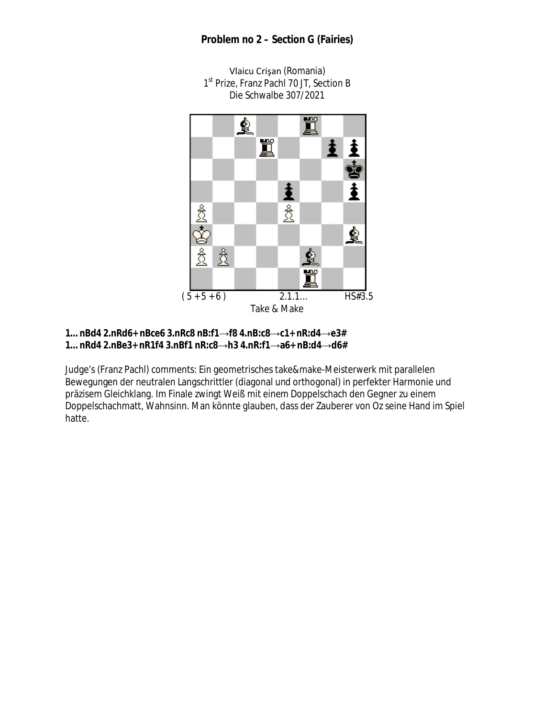### **Problem no 2 – Section G (Fairies)**



Vlaicu Crişan (Romania) 1<sup>st</sup> Prize, Franz Pachl 70 JT, Section B Die Schwalbe 307/2021

#### **1… nBd4 2.nRd6+ nBce6 3.nRc8 nB:f1**→**f8 4.nB:c8**→**c1+ nR:d4**→**e3# 1… nRd4 2.nBe3+ nR1f4 3.nBf1 nR:c8**→**h3 4.nR:f1**→**a6+ nB:d4**→**d6#**

Judge's (Franz Pachl) comments: Ein geometrisches take&make-Meisterwerk mit parallelen Bewegungen der neutralen Langschrittler (diagonal und orthogonal) in perfekter Harmonie und präzisem Gleichklang. Im Finale zwingt Weiß mit einem Doppelschach den Gegner zu einem Doppelschachmatt, Wahnsinn. Man könnte glauben, dass der Zauberer von Oz seine Hand im Spiel hatte.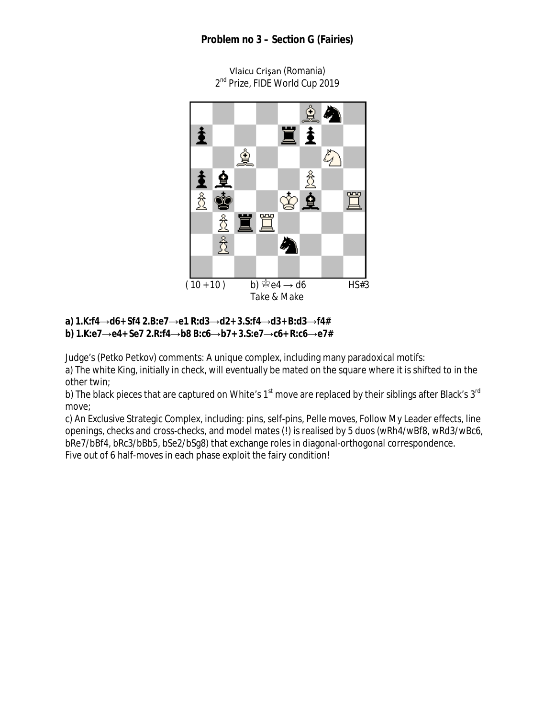# **Problem no 3 – Section G (Fairies)**



Vlaicu Crişan (Romania) 2<sup>nd</sup> Prize, FIDE World Cup 2019

#### **a) 1.K:f4**→**d6+ Sf4 2.B:e7**→**e1 R:d3**→**d2+ 3.S:f4**→**d3+ B:d3**→**f4# b) 1.K:e7**→**e4+ Se7 2.R:f4**→**b8 B:c6**→**b7+ 3.S:e7**→**c6+ R:c6**→**e7#**

Judge's (Petko Petkov) comments: A unique complex, including many paradoxical motifs: a) The white King, initially in check, will eventually be mated on the square where it is shifted to in the other twin;

b) The black pieces that are captured on White's  $1<sup>st</sup>$  move are replaced by their siblings after Black's  $3<sup>rd</sup>$ move;

c) An Exclusive Strategic Complex, including: pins, self-pins, Pelle moves, Follow My Leader effects, line openings, checks and cross-checks, and model mates (!) is realised by 5 duos (wRh4/wBf8, wRd3/wBc6, bRe7/bBf4, bRc3/bBb5, bSe2/bSg8) that exchange roles in diagonal-orthogonal correspondence. Five out of 6 half-moves in each phase exploit the fairy condition!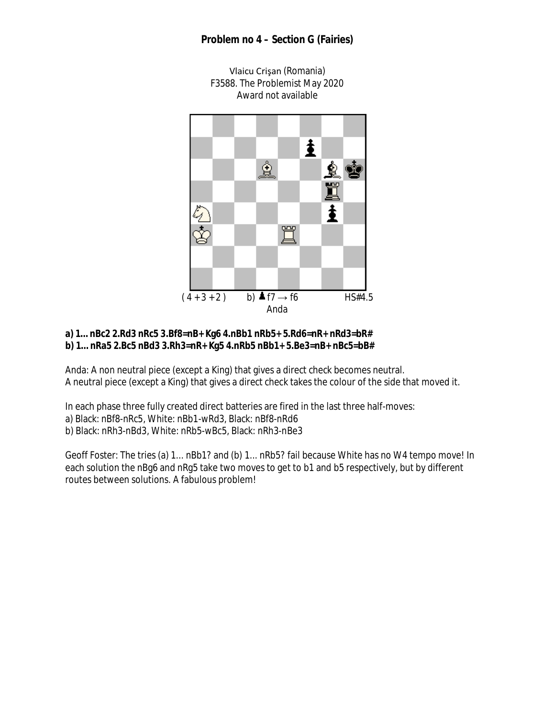## **Problem no 4 – Section G (Fairies)**



### **a) 1… nBc2 2.Rd3 nRc5 3.Bf8=nB+ Kg6 4.nBb1 nRb5+ 5.Rd6=nR+ nRd3=bR# b) 1… nRa5 2.Bc5 nBd3 3.Rh3=nR+ Kg5 4.nRb5 nBb1+ 5.Be3=nB+ nBc5=bB#**

Anda: A non neutral piece (except a King) that gives a direct check becomes neutral. A neutral piece (except a King) that gives a direct check takes the colour of the side that moved it.

In each phase three fully created direct batteries are fired in the last three half-moves:

a) Black: nBf8-nRc5, White: nBb1-wRd3, Black: nBf8-nRd6

b) Black: nRh3-nBd3, White: nRb5-wBc5, Black: nRh3-nBe3

Geoff Foster: The tries (a) 1... nBb1? and (b) 1... nRb5? fail because White has no W4 tempo move! In each solution the nBg6 and nRg5 take two moves to get to b1 and b5 respectively, but by different routes between solutions. A fabulous problem!

Vlaicu Crişan (Romania) F3588. The Problemist May 2020 Award not available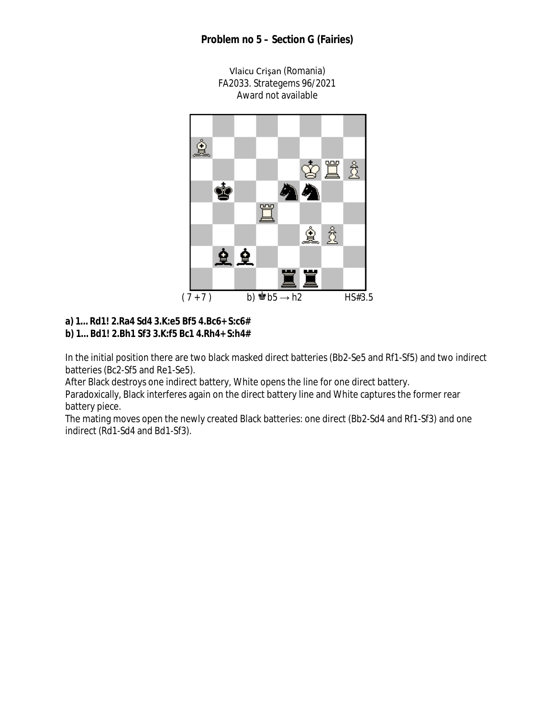## **Problem no 5 – Section G (Fairies)**

Vlaicu Crişan (Romania) FA2033. Strategems 96/2021 Award not available



### **a) 1… Rd1! 2.Ra4 Sd4 3.K:e5 Bf5 4.Bc6+ S:c6# b) 1… Bd1! 2.Bh1 Sf3 3.K:f5 Bc1 4.Rh4+ S:h4#**

In the initial position there are two black masked direct batteries (Bb2-Se5 and Rf1-Sf5) and two indirect batteries (Bc2-Sf5 and Re1-Se5).

After Black destroys one indirect battery, White opens the line for one direct battery.

Paradoxically, Black interferes again on the direct battery line and White captures the former rear battery piece.

The mating moves open the newly created Black batteries: one direct (Bb2-Sd4 and Rf1-Sf3) and one indirect (Rd1-Sd4 and Bd1-Sf3).